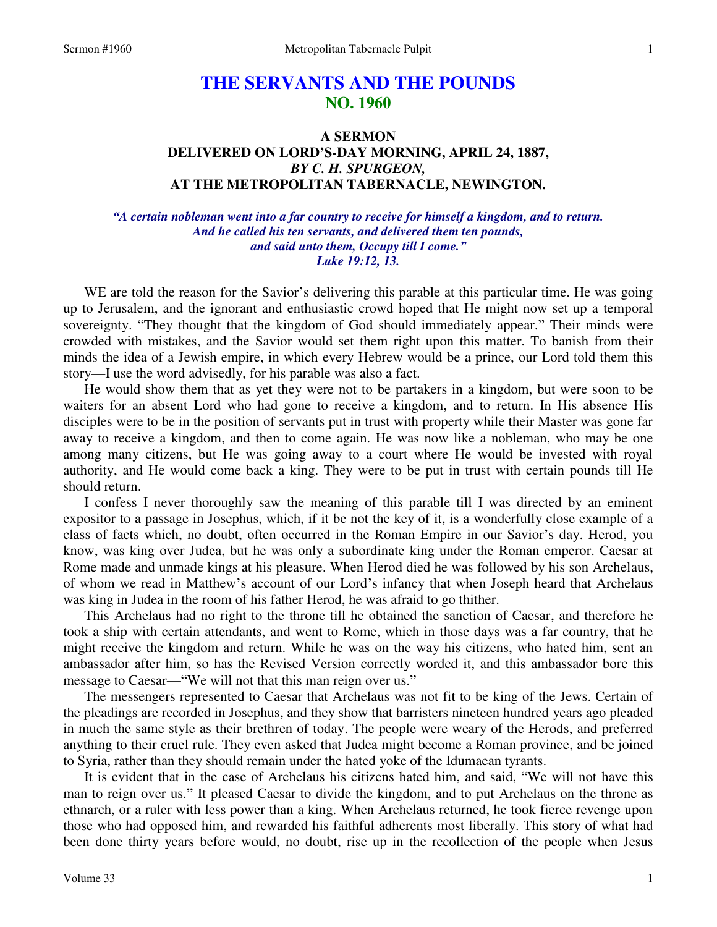# **THE SERVANTS AND THE POUNDS NO. 1960**

# **A SERMON DELIVERED ON LORD'S-DAY MORNING, APRIL 24, 1887,**  *BY C. H. SPURGEON,*  **AT THE METROPOLITAN TABERNACLE, NEWINGTON.**

*"A certain nobleman went into a far country to receive for himself a kingdom, and to return. And he called his ten servants, and delivered them ten pounds, and said unto them, Occupy till I come." Luke 19:12, 13.* 

WE are told the reason for the Savior's delivering this parable at this particular time. He was going up to Jerusalem, and the ignorant and enthusiastic crowd hoped that He might now set up a temporal sovereignty. "They thought that the kingdom of God should immediately appear." Their minds were crowded with mistakes, and the Savior would set them right upon this matter. To banish from their minds the idea of a Jewish empire, in which every Hebrew would be a prince, our Lord told them this story—I use the word advisedly, for his parable was also a fact.

He would show them that as yet they were not to be partakers in a kingdom, but were soon to be waiters for an absent Lord who had gone to receive a kingdom, and to return. In His absence His disciples were to be in the position of servants put in trust with property while their Master was gone far away to receive a kingdom, and then to come again. He was now like a nobleman, who may be one among many citizens, but He was going away to a court where He would be invested with royal authority, and He would come back a king. They were to be put in trust with certain pounds till He should return.

I confess I never thoroughly saw the meaning of this parable till I was directed by an eminent expositor to a passage in Josephus, which, if it be not the key of it, is a wonderfully close example of a class of facts which, no doubt, often occurred in the Roman Empire in our Savior's day. Herod, you know, was king over Judea, but he was only a subordinate king under the Roman emperor. Caesar at Rome made and unmade kings at his pleasure. When Herod died he was followed by his son Archelaus, of whom we read in Matthew's account of our Lord's infancy that when Joseph heard that Archelaus was king in Judea in the room of his father Herod, he was afraid to go thither.

This Archelaus had no right to the throne till he obtained the sanction of Caesar, and therefore he took a ship with certain attendants, and went to Rome, which in those days was a far country, that he might receive the kingdom and return. While he was on the way his citizens, who hated him, sent an ambassador after him, so has the Revised Version correctly worded it, and this ambassador bore this message to Caesar—"We will not that this man reign over us."

The messengers represented to Caesar that Archelaus was not fit to be king of the Jews. Certain of the pleadings are recorded in Josephus, and they show that barristers nineteen hundred years ago pleaded in much the same style as their brethren of today. The people were weary of the Herods, and preferred anything to their cruel rule. They even asked that Judea might become a Roman province, and be joined to Syria, rather than they should remain under the hated yoke of the Idumaean tyrants.

It is evident that in the case of Archelaus his citizens hated him, and said, "We will not have this man to reign over us." It pleased Caesar to divide the kingdom, and to put Archelaus on the throne as ethnarch, or a ruler with less power than a king. When Archelaus returned, he took fierce revenge upon those who had opposed him, and rewarded his faithful adherents most liberally. This story of what had been done thirty years before would, no doubt, rise up in the recollection of the people when Jesus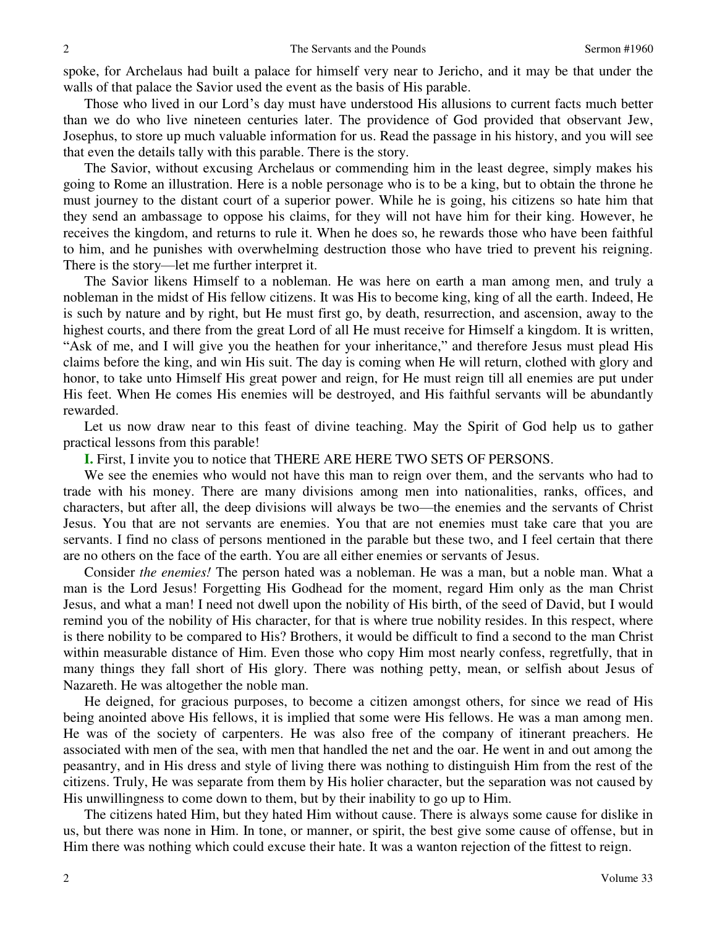spoke, for Archelaus had built a palace for himself very near to Jericho, and it may be that under the walls of that palace the Savior used the event as the basis of His parable.

Those who lived in our Lord's day must have understood His allusions to current facts much better than we do who live nineteen centuries later. The providence of God provided that observant Jew, Josephus, to store up much valuable information for us. Read the passage in his history, and you will see that even the details tally with this parable. There is the story.

The Savior, without excusing Archelaus or commending him in the least degree, simply makes his going to Rome an illustration. Here is a noble personage who is to be a king, but to obtain the throne he must journey to the distant court of a superior power. While he is going, his citizens so hate him that they send an ambassage to oppose his claims, for they will not have him for their king. However, he receives the kingdom, and returns to rule it. When he does so, he rewards those who have been faithful to him, and he punishes with overwhelming destruction those who have tried to prevent his reigning. There is the story—let me further interpret it.

The Savior likens Himself to a nobleman. He was here on earth a man among men, and truly a nobleman in the midst of His fellow citizens. It was His to become king, king of all the earth. Indeed, He is such by nature and by right, but He must first go, by death, resurrection, and ascension, away to the highest courts, and there from the great Lord of all He must receive for Himself a kingdom. It is written, "Ask of me, and I will give you the heathen for your inheritance," and therefore Jesus must plead His claims before the king, and win His suit. The day is coming when He will return, clothed with glory and honor, to take unto Himself His great power and reign, for He must reign till all enemies are put under His feet. When He comes His enemies will be destroyed, and His faithful servants will be abundantly rewarded.

Let us now draw near to this feast of divine teaching. May the Spirit of God help us to gather practical lessons from this parable!

**I.** First, I invite you to notice that THERE ARE HERE TWO SETS OF PERSONS.

We see the enemies who would not have this man to reign over them, and the servants who had to trade with his money. There are many divisions among men into nationalities, ranks, offices, and characters, but after all, the deep divisions will always be two—the enemies and the servants of Christ Jesus. You that are not servants are enemies. You that are not enemies must take care that you are servants. I find no class of persons mentioned in the parable but these two, and I feel certain that there are no others on the face of the earth. You are all either enemies or servants of Jesus.

Consider *the enemies!* The person hated was a nobleman. He was a man, but a noble man. What a man is the Lord Jesus! Forgetting His Godhead for the moment, regard Him only as the man Christ Jesus, and what a man! I need not dwell upon the nobility of His birth, of the seed of David, but I would remind you of the nobility of His character, for that is where true nobility resides. In this respect, where is there nobility to be compared to His? Brothers, it would be difficult to find a second to the man Christ within measurable distance of Him. Even those who copy Him most nearly confess, regretfully, that in many things they fall short of His glory. There was nothing petty, mean, or selfish about Jesus of Nazareth. He was altogether the noble man.

He deigned, for gracious purposes, to become a citizen amongst others, for since we read of His being anointed above His fellows, it is implied that some were His fellows. He was a man among men. He was of the society of carpenters. He was also free of the company of itinerant preachers. He associated with men of the sea, with men that handled the net and the oar. He went in and out among the peasantry, and in His dress and style of living there was nothing to distinguish Him from the rest of the citizens. Truly, He was separate from them by His holier character, but the separation was not caused by His unwillingness to come down to them, but by their inability to go up to Him.

The citizens hated Him, but they hated Him without cause. There is always some cause for dislike in us, but there was none in Him. In tone, or manner, or spirit, the best give some cause of offense, but in Him there was nothing which could excuse their hate. It was a wanton rejection of the fittest to reign.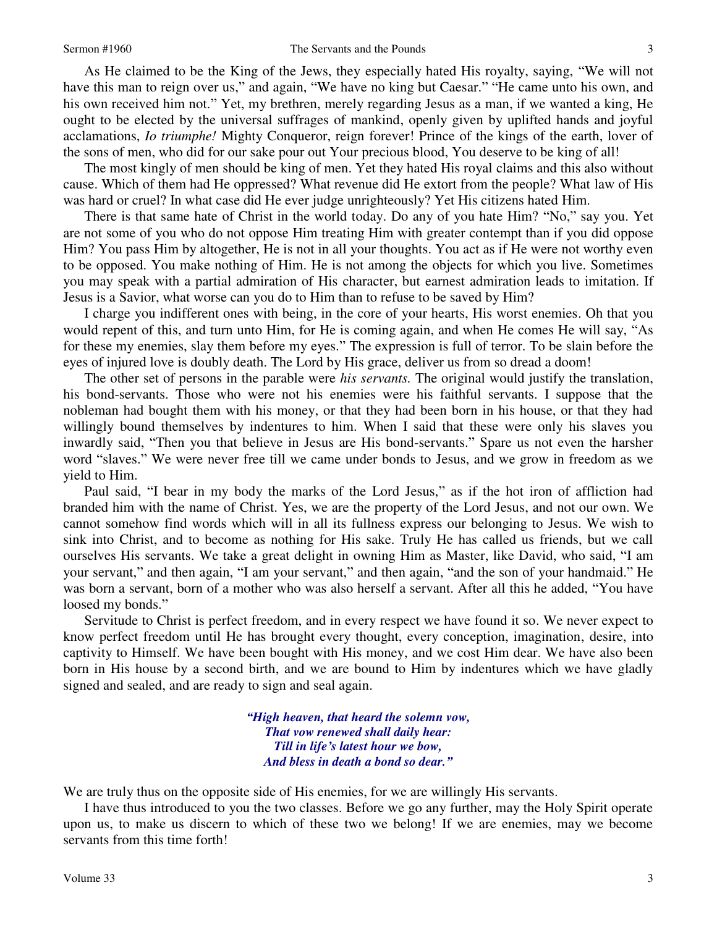As He claimed to be the King of the Jews, they especially hated His royalty, saying, "We will not have this man to reign over us," and again, "We have no king but Caesar." "He came unto his own, and his own received him not." Yet, my brethren, merely regarding Jesus as a man, if we wanted a king, He ought to be elected by the universal suffrages of mankind, openly given by uplifted hands and joyful acclamations, *Io triumphe!* Mighty Conqueror, reign forever! Prince of the kings of the earth, lover of the sons of men, who did for our sake pour out Your precious blood, You deserve to be king of all!

The most kingly of men should be king of men. Yet they hated His royal claims and this also without cause. Which of them had He oppressed? What revenue did He extort from the people? What law of His was hard or cruel? In what case did He ever judge unrighteously? Yet His citizens hated Him.

There is that same hate of Christ in the world today. Do any of you hate Him? "No," say you. Yet are not some of you who do not oppose Him treating Him with greater contempt than if you did oppose Him? You pass Him by altogether, He is not in all your thoughts. You act as if He were not worthy even to be opposed. You make nothing of Him. He is not among the objects for which you live. Sometimes you may speak with a partial admiration of His character, but earnest admiration leads to imitation. If Jesus is a Savior, what worse can you do to Him than to refuse to be saved by Him?

I charge you indifferent ones with being, in the core of your hearts, His worst enemies. Oh that you would repent of this, and turn unto Him, for He is coming again, and when He comes He will say, "As for these my enemies, slay them before my eyes." The expression is full of terror. To be slain before the eyes of injured love is doubly death. The Lord by His grace, deliver us from so dread a doom!

The other set of persons in the parable were *his servants.* The original would justify the translation, his bond-servants. Those who were not his enemies were his faithful servants. I suppose that the nobleman had bought them with his money, or that they had been born in his house, or that they had willingly bound themselves by indentures to him. When I said that these were only his slaves you inwardly said, "Then you that believe in Jesus are His bond-servants." Spare us not even the harsher word "slaves." We were never free till we came under bonds to Jesus, and we grow in freedom as we yield to Him.

Paul said, "I bear in my body the marks of the Lord Jesus," as if the hot iron of affliction had branded him with the name of Christ. Yes, we are the property of the Lord Jesus, and not our own. We cannot somehow find words which will in all its fullness express our belonging to Jesus. We wish to sink into Christ, and to become as nothing for His sake. Truly He has called us friends, but we call ourselves His servants. We take a great delight in owning Him as Master, like David, who said, "I am your servant," and then again, "I am your servant," and then again, "and the son of your handmaid." He was born a servant, born of a mother who was also herself a servant. After all this he added, "You have loosed my bonds."

Servitude to Christ is perfect freedom, and in every respect we have found it so. We never expect to know perfect freedom until He has brought every thought, every conception, imagination, desire, into captivity to Himself. We have been bought with His money, and we cost Him dear. We have also been born in His house by a second birth, and we are bound to Him by indentures which we have gladly signed and sealed, and are ready to sign and seal again.

> *"High heaven, that heard the solemn vow, That vow renewed shall daily hear: Till in life's latest hour we bow, And bless in death a bond so dear."*

We are truly thus on the opposite side of His enemies, for we are willingly His servants.

I have thus introduced to you the two classes. Before we go any further, may the Holy Spirit operate upon us, to make us discern to which of these two we belong! If we are enemies, may we become servants from this time forth!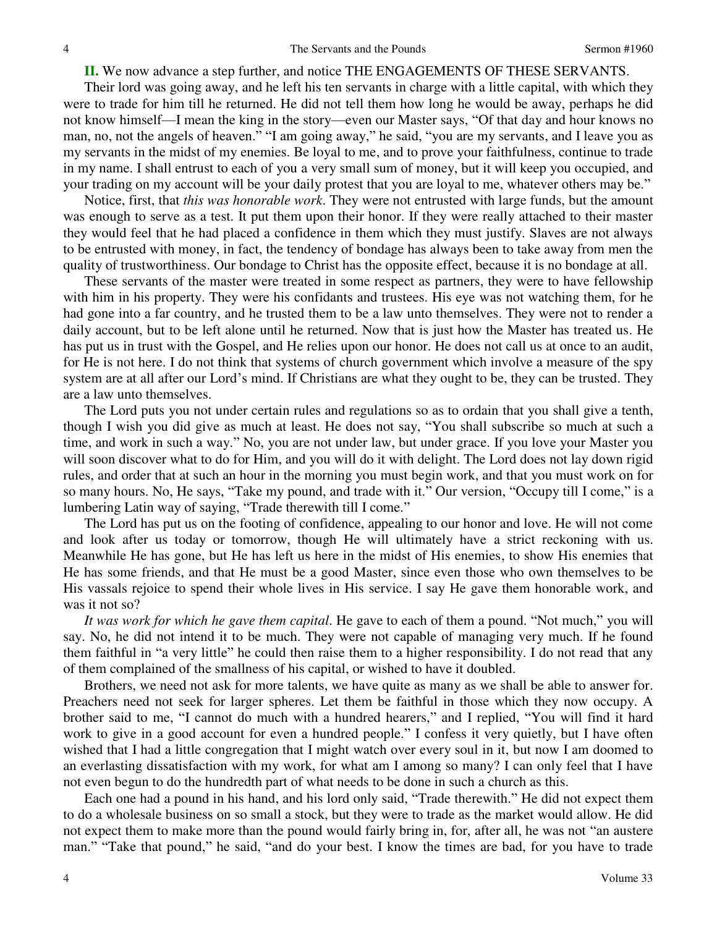**II.** We now advance a step further, and notice THE ENGAGEMENTS OF THESE SERVANTS.

Their lord was going away, and he left his ten servants in charge with a little capital, with which they were to trade for him till he returned. He did not tell them how long he would be away, perhaps he did not know himself—I mean the king in the story—even our Master says, "Of that day and hour knows no man, no, not the angels of heaven." "I am going away," he said, "you are my servants, and I leave you as my servants in the midst of my enemies. Be loyal to me, and to prove your faithfulness, continue to trade in my name. I shall entrust to each of you a very small sum of money, but it will keep you occupied, and your trading on my account will be your daily protest that you are loyal to me, whatever others may be."

Notice, first, that *this was honorable work*. They were not entrusted with large funds, but the amount was enough to serve as a test. It put them upon their honor. If they were really attached to their master they would feel that he had placed a confidence in them which they must justify. Slaves are not always to be entrusted with money, in fact, the tendency of bondage has always been to take away from men the quality of trustworthiness. Our bondage to Christ has the opposite effect, because it is no bondage at all.

These servants of the master were treated in some respect as partners, they were to have fellowship with him in his property. They were his confidants and trustees. His eye was not watching them, for he had gone into a far country, and he trusted them to be a law unto themselves. They were not to render a daily account, but to be left alone until he returned. Now that is just how the Master has treated us. He has put us in trust with the Gospel, and He relies upon our honor. He does not call us at once to an audit, for He is not here. I do not think that systems of church government which involve a measure of the spy system are at all after our Lord's mind. If Christians are what they ought to be, they can be trusted. They are a law unto themselves.

The Lord puts you not under certain rules and regulations so as to ordain that you shall give a tenth, though I wish you did give as much at least. He does not say, "You shall subscribe so much at such a time, and work in such a way." No, you are not under law, but under grace. If you love your Master you will soon discover what to do for Him, and you will do it with delight. The Lord does not lay down rigid rules, and order that at such an hour in the morning you must begin work, and that you must work on for so many hours. No, He says, "Take my pound, and trade with it." Our version, "Occupy till I come," is a lumbering Latin way of saying, "Trade therewith till I come."

The Lord has put us on the footing of confidence, appealing to our honor and love. He will not come and look after us today or tomorrow, though He will ultimately have a strict reckoning with us. Meanwhile He has gone, but He has left us here in the midst of His enemies, to show His enemies that He has some friends, and that He must be a good Master, since even those who own themselves to be His vassals rejoice to spend their whole lives in His service. I say He gave them honorable work, and was it not so?

*It was work for which he gave them capital*. He gave to each of them a pound. "Not much," you will say. No, he did not intend it to be much. They were not capable of managing very much. If he found them faithful in "a very little" he could then raise them to a higher responsibility. I do not read that any of them complained of the smallness of his capital, or wished to have it doubled.

Brothers, we need not ask for more talents, we have quite as many as we shall be able to answer for. Preachers need not seek for larger spheres. Let them be faithful in those which they now occupy. A brother said to me, "I cannot do much with a hundred hearers," and I replied, "You will find it hard work to give in a good account for even a hundred people." I confess it very quietly, but I have often wished that I had a little congregation that I might watch over every soul in it, but now I am doomed to an everlasting dissatisfaction with my work, for what am I among so many? I can only feel that I have not even begun to do the hundredth part of what needs to be done in such a church as this.

Each one had a pound in his hand, and his lord only said, "Trade therewith." He did not expect them to do a wholesale business on so small a stock, but they were to trade as the market would allow. He did not expect them to make more than the pound would fairly bring in, for, after all, he was not "an austere man." "Take that pound," he said, "and do your best. I know the times are bad, for you have to trade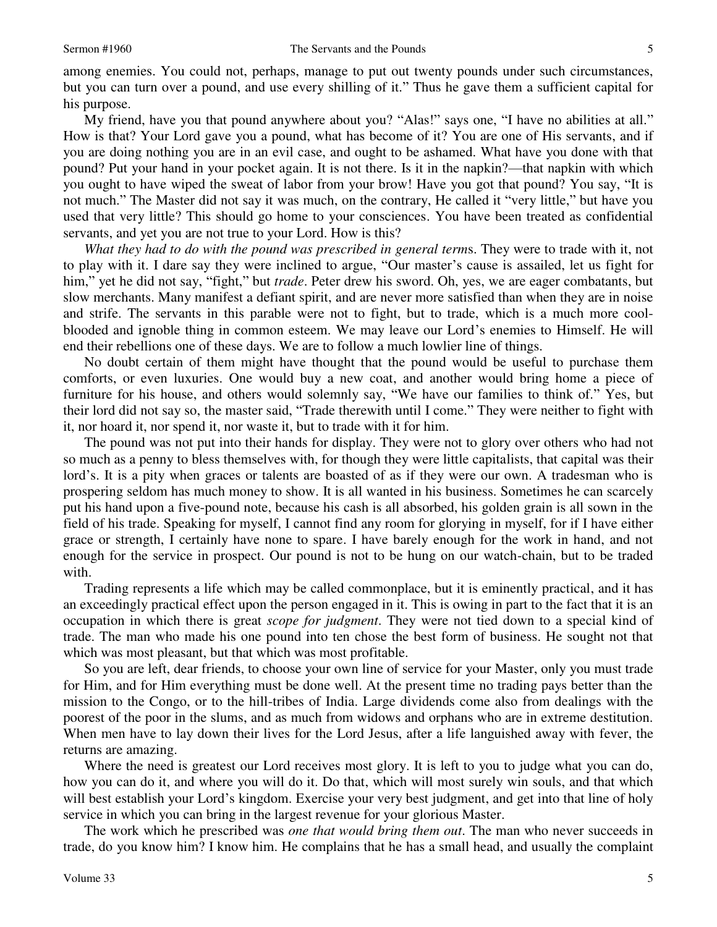among enemies. You could not, perhaps, manage to put out twenty pounds under such circumstances, but you can turn over a pound, and use every shilling of it." Thus he gave them a sufficient capital for his purpose.

My friend, have you that pound anywhere about you? "Alas!" says one, "I have no abilities at all." How is that? Your Lord gave you a pound, what has become of it? You are one of His servants, and if you are doing nothing you are in an evil case, and ought to be ashamed. What have you done with that pound? Put your hand in your pocket again. It is not there. Is it in the napkin?—that napkin with which you ought to have wiped the sweat of labor from your brow! Have you got that pound? You say, "It is not much." The Master did not say it was much, on the contrary, He called it "very little," but have you used that very little? This should go home to your consciences. You have been treated as confidential servants, and yet you are not true to your Lord. How is this?

*What they had to do with the pound was prescribed in general term*s. They were to trade with it, not to play with it. I dare say they were inclined to argue, "Our master's cause is assailed, let us fight for him," yet he did not say, "fight," but *trade*. Peter drew his sword. Oh, yes, we are eager combatants, but slow merchants. Many manifest a defiant spirit, and are never more satisfied than when they are in noise and strife. The servants in this parable were not to fight, but to trade, which is a much more coolblooded and ignoble thing in common esteem. We may leave our Lord's enemies to Himself. He will end their rebellions one of these days. We are to follow a much lowlier line of things.

No doubt certain of them might have thought that the pound would be useful to purchase them comforts, or even luxuries. One would buy a new coat, and another would bring home a piece of furniture for his house, and others would solemnly say, "We have our families to think of." Yes, but their lord did not say so, the master said, "Trade therewith until I come." They were neither to fight with it, nor hoard it, nor spend it, nor waste it, but to trade with it for him.

The pound was not put into their hands for display. They were not to glory over others who had not so much as a penny to bless themselves with, for though they were little capitalists, that capital was their lord's. It is a pity when graces or talents are boasted of as if they were our own. A tradesman who is prospering seldom has much money to show. It is all wanted in his business. Sometimes he can scarcely put his hand upon a five-pound note, because his cash is all absorbed, his golden grain is all sown in the field of his trade. Speaking for myself, I cannot find any room for glorying in myself, for if I have either grace or strength, I certainly have none to spare. I have barely enough for the work in hand, and not enough for the service in prospect. Our pound is not to be hung on our watch-chain, but to be traded with.

Trading represents a life which may be called commonplace, but it is eminently practical, and it has an exceedingly practical effect upon the person engaged in it. This is owing in part to the fact that it is an occupation in which there is great *scope for judgment*. They were not tied down to a special kind of trade. The man who made his one pound into ten chose the best form of business. He sought not that which was most pleasant, but that which was most profitable.

So you are left, dear friends, to choose your own line of service for your Master, only you must trade for Him, and for Him everything must be done well. At the present time no trading pays better than the mission to the Congo, or to the hill-tribes of India. Large dividends come also from dealings with the poorest of the poor in the slums, and as much from widows and orphans who are in extreme destitution. When men have to lay down their lives for the Lord Jesus, after a life languished away with fever, the returns are amazing.

Where the need is greatest our Lord receives most glory. It is left to you to judge what you can do, how you can do it, and where you will do it. Do that, which will most surely win souls, and that which will best establish your Lord's kingdom. Exercise your very best judgment, and get into that line of holy service in which you can bring in the largest revenue for your glorious Master.

The work which he prescribed was *one that would bring them out*. The man who never succeeds in trade, do you know him? I know him. He complains that he has a small head, and usually the complaint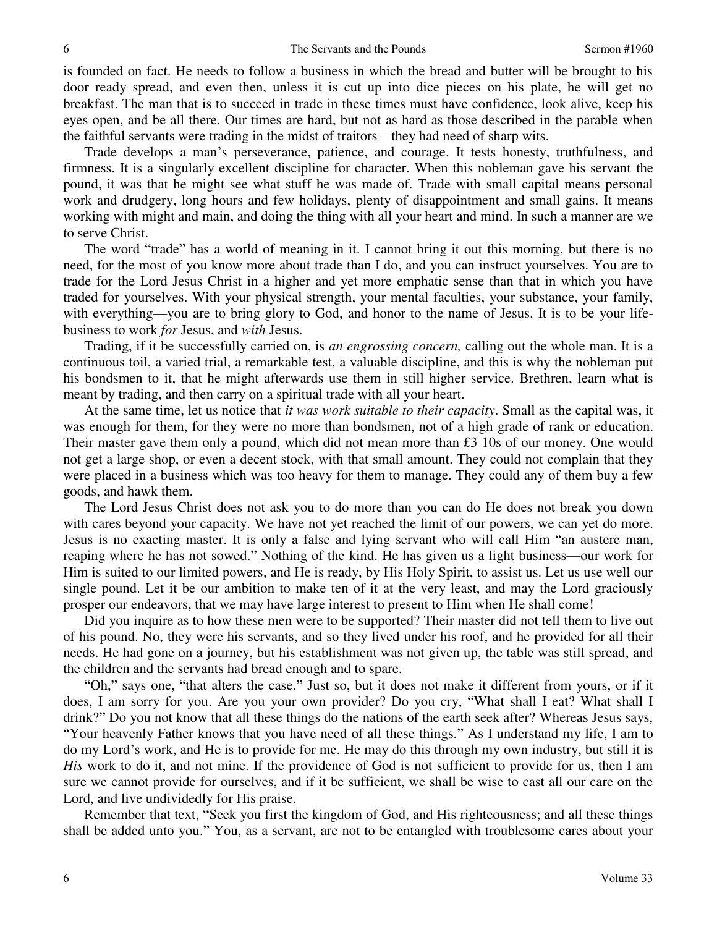is founded on fact. He needs to follow a business in which the bread and butter will be brought to his door ready spread, and even then, unless it is cut up into dice pieces on his plate, he will get no breakfast. The man that is to succeed in trade in these times must have confidence, look alive, keep his eyes open, and be all there. Our times are hard, but not as hard as those described in the parable when the faithful servants were trading in the midst of traitors—they had need of sharp wits.

Trade develops a man's perseverance, patience, and courage. It tests honesty, truthfulness, and firmness. It is a singularly excellent discipline for character. When this nobleman gave his servant the pound, it was that he might see what stuff he was made of. Trade with small capital means personal work and drudgery, long hours and few holidays, plenty of disappointment and small gains. It means working with might and main, and doing the thing with all your heart and mind. In such a manner are we to serve Christ.

The word "trade" has a world of meaning in it. I cannot bring it out this morning, but there is no need, for the most of you know more about trade than I do, and you can instruct yourselves. You are to trade for the Lord Jesus Christ in a higher and yet more emphatic sense than that in which you have traded for yourselves. With your physical strength, your mental faculties, your substance, your family, with everything—you are to bring glory to God, and honor to the name of Jesus. It is to be your lifebusiness to work *for* Jesus, and *with* Jesus.

Trading, if it be successfully carried on, is *an engrossing concern,* calling out the whole man. It is a continuous toil, a varied trial, a remarkable test, a valuable discipline, and this is why the nobleman put his bondsmen to it, that he might afterwards use them in still higher service. Brethren, learn what is meant by trading, and then carry on a spiritual trade with all your heart.

At the same time, let us notice that *it was work suitable to their capacity*. Small as the capital was, it was enough for them, for they were no more than bondsmen, not of a high grade of rank or education. Their master gave them only a pound, which did not mean more than £3 10s of our money. One would not get a large shop, or even a decent stock, with that small amount. They could not complain that they were placed in a business which was too heavy for them to manage. They could any of them buy a few goods, and hawk them.

The Lord Jesus Christ does not ask you to do more than you can do He does not break you down with cares beyond your capacity. We have not yet reached the limit of our powers, we can yet do more. Jesus is no exacting master. It is only a false and lying servant who will call Him "an austere man, reaping where he has not sowed." Nothing of the kind. He has given us a light business—our work for Him is suited to our limited powers, and He is ready, by His Holy Spirit, to assist us. Let us use well our single pound. Let it be our ambition to make ten of it at the very least, and may the Lord graciously prosper our endeavors, that we may have large interest to present to Him when He shall come!

Did you inquire as to how these men were to be supported? Their master did not tell them to live out of his pound. No, they were his servants, and so they lived under his roof, and he provided for all their needs. He had gone on a journey, but his establishment was not given up, the table was still spread, and the children and the servants had bread enough and to spare.

"Oh," says one, "that alters the case." Just so, but it does not make it different from yours, or if it does, I am sorry for you. Are you your own provider? Do you cry, "What shall I eat? What shall I drink?" Do you not know that all these things do the nations of the earth seek after? Whereas Jesus says, "Your heavenly Father knows that you have need of all these things." As I understand my life, I am to do my Lord's work, and He is to provide for me. He may do this through my own industry, but still it is *His* work to do it, and not mine. If the providence of God is not sufficient to provide for us, then I am sure we cannot provide for ourselves, and if it be sufficient, we shall be wise to cast all our care on the Lord, and live undividedly for His praise.

Remember that text, "Seek you first the kingdom of God, and His righteousness; and all these things shall be added unto you." You, as a servant, are not to be entangled with troublesome cares about your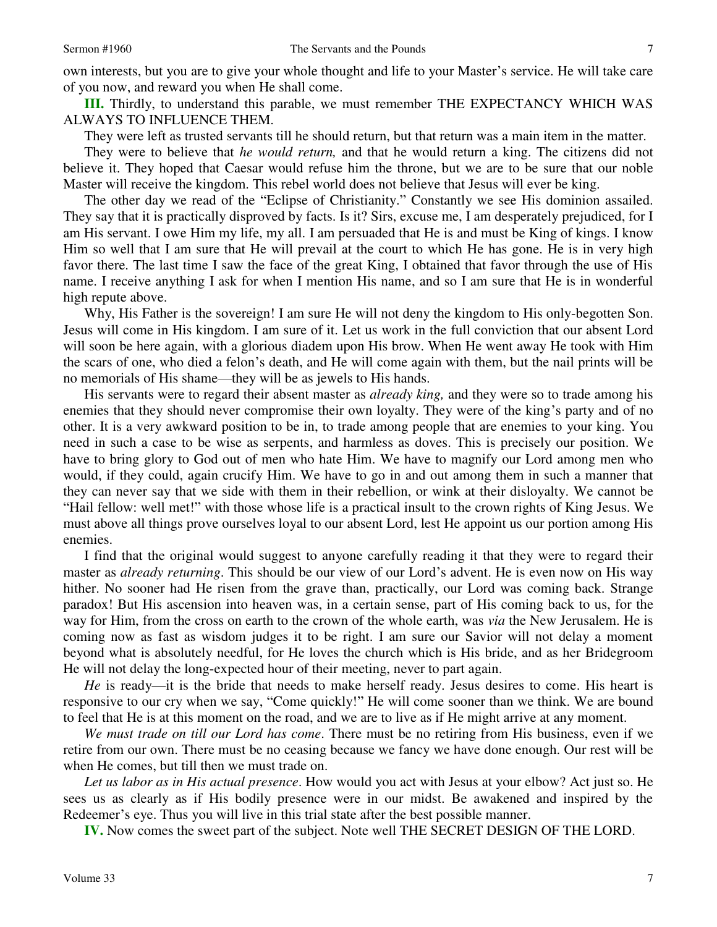own interests, but you are to give your whole thought and life to your Master's service. He will take care of you now, and reward you when He shall come.

**III.** Thirdly, to understand this parable, we must remember THE EXPECTANCY WHICH WAS ALWAYS TO INFLUENCE THEM.

They were left as trusted servants till he should return, but that return was a main item in the matter.

They were to believe that *he would return,* and that he would return a king. The citizens did not believe it. They hoped that Caesar would refuse him the throne, but we are to be sure that our noble Master will receive the kingdom. This rebel world does not believe that Jesus will ever be king.

The other day we read of the "Eclipse of Christianity." Constantly we see His dominion assailed. They say that it is practically disproved by facts. Is it? Sirs, excuse me, I am desperately prejudiced, for I am His servant. I owe Him my life, my all. I am persuaded that He is and must be King of kings. I know Him so well that I am sure that He will prevail at the court to which He has gone. He is in very high favor there. The last time I saw the face of the great King, I obtained that favor through the use of His name. I receive anything I ask for when I mention His name, and so I am sure that He is in wonderful high repute above.

Why, His Father is the sovereign! I am sure He will not deny the kingdom to His only-begotten Son. Jesus will come in His kingdom. I am sure of it. Let us work in the full conviction that our absent Lord will soon be here again, with a glorious diadem upon His brow. When He went away He took with Him the scars of one, who died a felon's death, and He will come again with them, but the nail prints will be no memorials of His shame—they will be as jewels to His hands.

His servants were to regard their absent master as *already king,* and they were so to trade among his enemies that they should never compromise their own loyalty. They were of the king's party and of no other. It is a very awkward position to be in, to trade among people that are enemies to your king. You need in such a case to be wise as serpents, and harmless as doves. This is precisely our position. We have to bring glory to God out of men who hate Him. We have to magnify our Lord among men who would, if they could, again crucify Him. We have to go in and out among them in such a manner that they can never say that we side with them in their rebellion, or wink at their disloyalty. We cannot be "Hail fellow: well met!" with those whose life is a practical insult to the crown rights of King Jesus. We must above all things prove ourselves loyal to our absent Lord, lest He appoint us our portion among His enemies.

I find that the original would suggest to anyone carefully reading it that they were to regard their master as *already returning*. This should be our view of our Lord's advent. He is even now on His way hither. No sooner had He risen from the grave than, practically, our Lord was coming back. Strange paradox! But His ascension into heaven was, in a certain sense, part of His coming back to us, for the way for Him, from the cross on earth to the crown of the whole earth, was *via* the New Jerusalem. He is coming now as fast as wisdom judges it to be right. I am sure our Savior will not delay a moment beyond what is absolutely needful, for He loves the church which is His bride, and as her Bridegroom He will not delay the long-expected hour of their meeting, never to part again.

*He* is ready—it is the bride that needs to make herself ready. Jesus desires to come. His heart is responsive to our cry when we say, "Come quickly!" He will come sooner than we think. We are bound to feel that He is at this moment on the road, and we are to live as if He might arrive at any moment.

*We must trade on till our Lord has come*. There must be no retiring from His business, even if we retire from our own. There must be no ceasing because we fancy we have done enough. Our rest will be when He comes, but till then we must trade on.

*Let us labor as in His actual presence*. How would you act with Jesus at your elbow? Act just so. He sees us as clearly as if His bodily presence were in our midst. Be awakened and inspired by the Redeemer's eye. Thus you will live in this trial state after the best possible manner.

**IV.** Now comes the sweet part of the subject. Note well THE SECRET DESIGN OF THE LORD.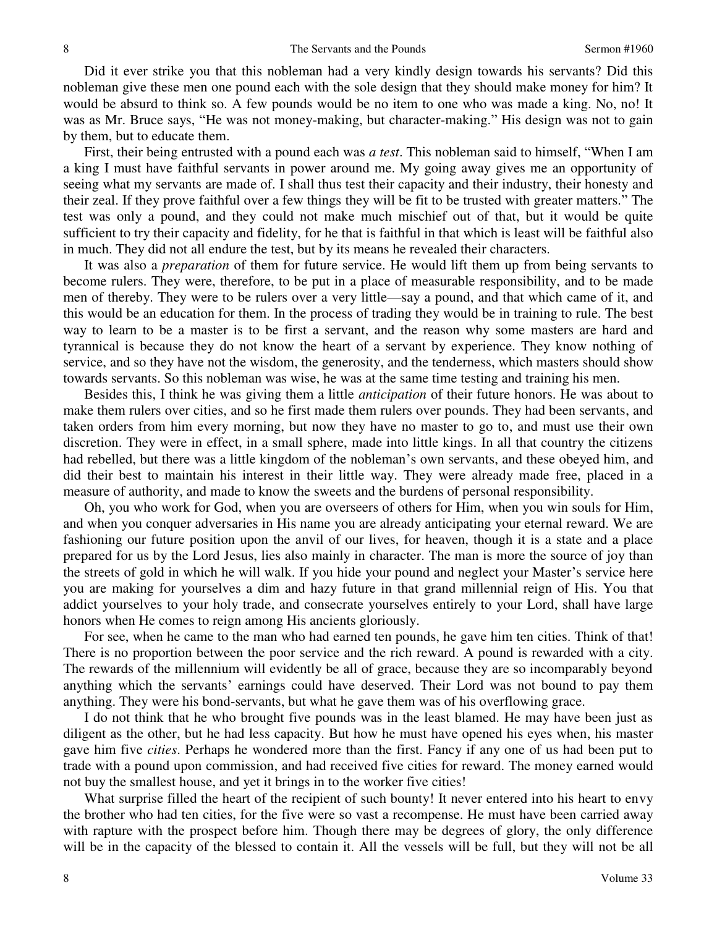Did it ever strike you that this nobleman had a very kindly design towards his servants? Did this nobleman give these men one pound each with the sole design that they should make money for him? It would be absurd to think so. A few pounds would be no item to one who was made a king. No, no! It was as Mr. Bruce says, "He was not money-making, but character-making." His design was not to gain by them, but to educate them.

First, their being entrusted with a pound each was *a test*. This nobleman said to himself, "When I am a king I must have faithful servants in power around me. My going away gives me an opportunity of seeing what my servants are made of. I shall thus test their capacity and their industry, their honesty and their zeal. If they prove faithful over a few things they will be fit to be trusted with greater matters." The test was only a pound, and they could not make much mischief out of that, but it would be quite sufficient to try their capacity and fidelity, for he that is faithful in that which is least will be faithful also in much. They did not all endure the test, but by its means he revealed their characters.

It was also a *preparation* of them for future service. He would lift them up from being servants to become rulers. They were, therefore, to be put in a place of measurable responsibility, and to be made men of thereby. They were to be rulers over a very little—say a pound, and that which came of it, and this would be an education for them. In the process of trading they would be in training to rule. The best way to learn to be a master is to be first a servant, and the reason why some masters are hard and tyrannical is because they do not know the heart of a servant by experience. They know nothing of service, and so they have not the wisdom, the generosity, and the tenderness, which masters should show towards servants. So this nobleman was wise, he was at the same time testing and training his men.

Besides this, I think he was giving them a little *anticipation* of their future honors. He was about to make them rulers over cities, and so he first made them rulers over pounds. They had been servants, and taken orders from him every morning, but now they have no master to go to, and must use their own discretion. They were in effect, in a small sphere, made into little kings. In all that country the citizens had rebelled, but there was a little kingdom of the nobleman's own servants, and these obeyed him, and did their best to maintain his interest in their little way. They were already made free, placed in a measure of authority, and made to know the sweets and the burdens of personal responsibility.

Oh, you who work for God, when you are overseers of others for Him, when you win souls for Him, and when you conquer adversaries in His name you are already anticipating your eternal reward. We are fashioning our future position upon the anvil of our lives, for heaven, though it is a state and a place prepared for us by the Lord Jesus, lies also mainly in character. The man is more the source of joy than the streets of gold in which he will walk. If you hide your pound and neglect your Master's service here you are making for yourselves a dim and hazy future in that grand millennial reign of His. You that addict yourselves to your holy trade, and consecrate yourselves entirely to your Lord, shall have large honors when He comes to reign among His ancients gloriously.

For see, when he came to the man who had earned ten pounds, he gave him ten cities. Think of that! There is no proportion between the poor service and the rich reward. A pound is rewarded with a city. The rewards of the millennium will evidently be all of grace, because they are so incomparably beyond anything which the servants' earnings could have deserved. Their Lord was not bound to pay them anything. They were his bond-servants, but what he gave them was of his overflowing grace.

I do not think that he who brought five pounds was in the least blamed. He may have been just as diligent as the other, but he had less capacity. But how he must have opened his eyes when, his master gave him five *cities*. Perhaps he wondered more than the first. Fancy if any one of us had been put to trade with a pound upon commission, and had received five cities for reward. The money earned would not buy the smallest house, and yet it brings in to the worker five cities!

What surprise filled the heart of the recipient of such bounty! It never entered into his heart to envy the brother who had ten cities, for the five were so vast a recompense. He must have been carried away with rapture with the prospect before him. Though there may be degrees of glory, the only difference will be in the capacity of the blessed to contain it. All the vessels will be full, but they will not be all